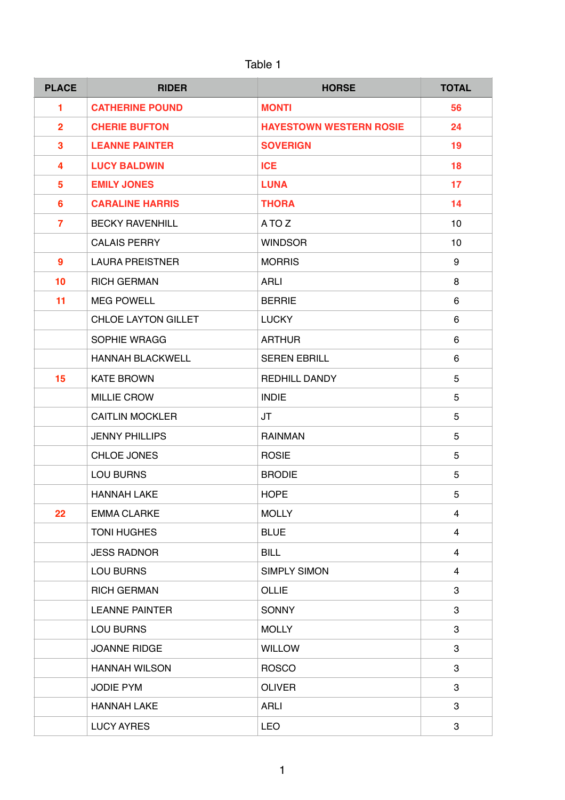| ⊿b⊮ |  |
|-----|--|
|-----|--|

| <b>PLACE</b>     | <b>RIDER</b>               | <b>HORSE</b>                   | <b>TOTAL</b>   |
|------------------|----------------------------|--------------------------------|----------------|
| 1                | <b>CATHERINE POUND</b>     | <b>MONTI</b>                   | 56             |
| $\overline{2}$   | <b>CHERIE BUFTON</b>       | <b>HAYESTOWN WESTERN ROSIE</b> | 24             |
| $\mathbf{3}$     | <b>LEANNE PAINTER</b>      | <b>SOVERIGN</b>                | 19             |
| 4                | <b>LUCY BALDWIN</b>        | <b>ICE</b>                     | 18             |
| $5\phantom{1}$   | <b>EMILY JONES</b>         | <b>LUNA</b>                    | 17             |
| 6                | <b>CARALINE HARRIS</b>     | <b>THORA</b>                   | 14             |
| $\overline{7}$   | <b>BECKY RAVENHILL</b>     | A TO Z                         | 10             |
|                  | <b>CALAIS PERRY</b>        | <b>WINDSOR</b>                 | 10             |
| $\boldsymbol{9}$ | <b>LAURA PREISTNER</b>     | <b>MORRIS</b>                  | 9              |
| 10               | <b>RICH GERMAN</b>         | <b>ARLI</b>                    | 8              |
| 11               | <b>MEG POWELL</b>          | <b>BERRIE</b>                  | 6              |
|                  | <b>CHLOE LAYTON GILLET</b> | <b>LUCKY</b>                   | 6              |
|                  | <b>SOPHIE WRAGG</b>        | <b>ARTHUR</b>                  | 6              |
|                  | <b>HANNAH BLACKWELL</b>    | <b>SEREN EBRILL</b>            | 6              |
| 15               | <b>KATE BROWN</b>          | REDHILL DANDY                  | 5              |
|                  | <b>MILLIE CROW</b>         | <b>INDIE</b>                   | 5              |
|                  | <b>CAITLIN MOCKLER</b>     | JT                             | 5              |
|                  | <b>JENNY PHILLIPS</b>      | <b>RAINMAN</b>                 | 5              |
|                  | CHLOE JONES                | <b>ROSIE</b>                   | 5              |
|                  | <b>LOU BURNS</b>           | <b>BRODIE</b>                  | 5              |
|                  | <b>HANNAH LAKE</b>         | <b>HOPE</b>                    | 5              |
| 22               | <b>EMMA CLARKE</b>         | <b>MOLLY</b>                   | 4              |
|                  | <b>TONI HUGHES</b>         | <b>BLUE</b>                    | $\overline{4}$ |
|                  | <b>JESS RADNOR</b>         | <b>BILL</b>                    | 4              |
|                  | <b>LOU BURNS</b>           | <b>SIMPLY SIMON</b>            | 4              |
|                  | <b>RICH GERMAN</b>         | <b>OLLIE</b>                   | 3              |
|                  | <b>LEANNE PAINTER</b>      | <b>SONNY</b>                   | 3              |
|                  | <b>LOU BURNS</b>           | <b>MOLLY</b>                   | 3              |
|                  | <b>JOANNE RIDGE</b>        | <b>WILLOW</b>                  | 3              |
|                  | <b>HANNAH WILSON</b>       | <b>ROSCO</b>                   | 3              |
|                  | <b>JODIE PYM</b>           | <b>OLIVER</b>                  | 3              |
|                  | <b>HANNAH LAKE</b>         | <b>ARLI</b>                    | 3              |
|                  | <b>LUCY AYRES</b>          | <b>LEO</b>                     | 3              |